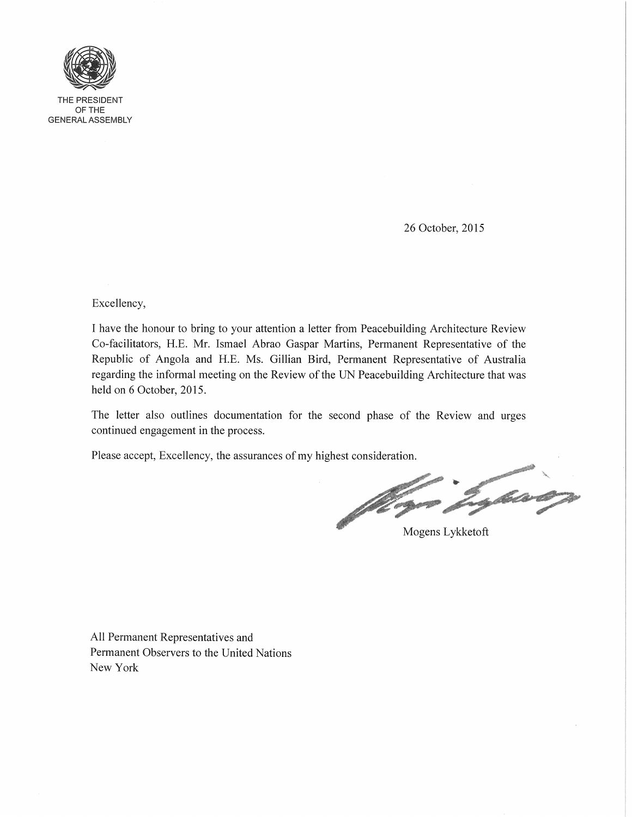

THE PRESIDENT OFTHE GENERAL ASSEMBLY

26 October, 2015

Excellency,

I have the honour to bring to your attention a letter from Peacebuilding Architecture Review Co-facilitators, H.E. Mr. Ismael Abrao Gaspar Martins, Permanent Representative of the Republic of Angola and H.E. Ms. Gillian Bird, Permanent Representative of Australia regarding the informal meeting on the Review of the UN Peacebuilding Architecture that was held on 6 October, 2015.

The letter also outlines documentation for the second phase of the Review and urges continued engagement in the process.

Please accept, Excellency, the assurances of my highest consideration.

Lybaron Jugar<sub>d</sub>

Mogens Lykketoft

All Permanent Representatives and Permanent Observers to the United Nations New York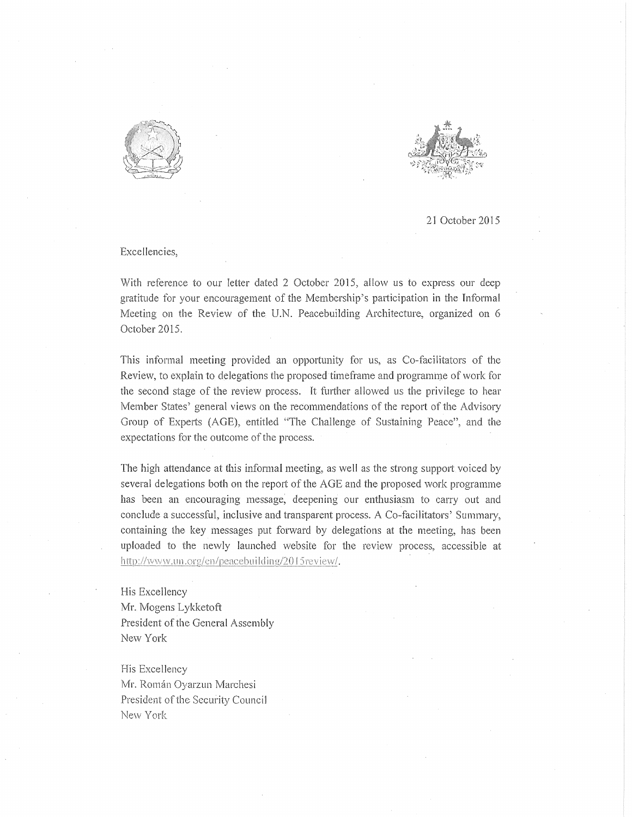



21 October 2015

Excellencies,

With reference to our letter dated 2 October 2015, allow us to express our deep gratitude for your encouragement of the Membership's participation in the Informal Meeting on the Review of the. U.N. Peacebuilding Architecture, organized on 6 October 2015.

This informal meeting provided an opportunity for us, as Co-facilitators of the Review, to explain to delegations the proposed timeframe and programme of work for the second stage of the review process. It further allowed us the privilege to hear Member States' general views on the recommendations of the report of the Advisory Group of Experts (AGE), entitled "The Challenge of Sustaining Peace", and the expectations for the outcome of the process.

The high attendance at this informal meeting, as well as the strong support voiced by several delegations both on the report of the AGE and the proposed work programme has been an encouraging message; deepening our enthusiasm to carry out and conclude a successful, inclusive and transparent process. A Co-facilitators' Summary, containing the key messages put forward by delegations at the meeting, has been uploaded to the newly launched website for the review process, accessible at http://www.un.org/en/peacebuilding/2015 review/.

His Excellency Mr. Mogens Lykketoft President of the General Assembly New York

His Excellency Mr. Román Oyarzun Marchesi President of the Security Council New York